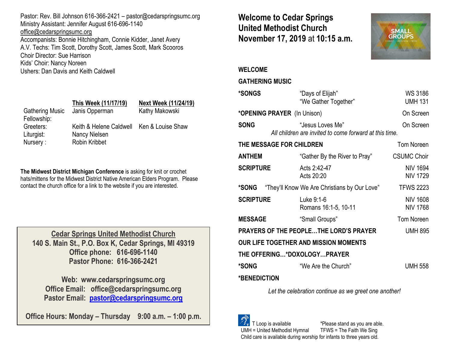Pastor: Rev. Bill Johnson 616-366-2421 – pastor@cedarspringsumc.org Ministry Assistant: Jennifer August 616-696-1140 [office@cedarspringsumc.org](mailto:office@cedarspringsumc.org) Accompanists: Bonnie Hitchingham, Connie Kidder, Janet Avery A.V. Techs: Tim Scott, Dorothy Scott, James Scott, Mark Scooros Choir Director: Sue Harrison Kids' Choir: Nancy Noreen Ushers: Dan Davis and Keith Caldwell

## **This Week (11/17/19) Next Week (11/24/19)** Gathering Music Janis Opperman Kathy Makowski Fellowship: Greeters: Keith & Helene Caldwell Ken & Louise Shaw Liturgist: Nancy Nielsen Nursery : Robin Kribbet

**The Midwest District Michigan Conference** is asking for knit or crochet hats/mittens for the Midwest District Native American Elders Program. Please contact the church office for a link to the website if you are interested.

**Cedar Springs United Methodist Church 140 S. Main St., P.O. Box K, Cedar Springs, MI 49319 Office phone: 616-696-1140 Pastor Phone: 616-366-2421**

**Web: www.cedarspringsumc.org Office Email: office@cedarspringsumc.org Pastor Email: [pastor@cedarspringsumc.org](mailto:pastor@cedarspringsumc.org)**

**Office Hours: Monday – Thursday 9:00 a.m. – 1:00 p.m.**

# **Welcome to Cedar Springs United Methodist Church November 17, 2019** at **10:15 a.m.**



## **WELCOME**

## **GATHERING MUSIC**

| *SONGS                                                   | "Days of Elijah"<br>"We Gather Together"                                   | <b>WS 3186</b><br><b>UMH 131</b>   |  |  |
|----------------------------------------------------------|----------------------------------------------------------------------------|------------------------------------|--|--|
| *OPENING PRAYER (In Unison)                              |                                                                            | On Screen                          |  |  |
| <b>SONG</b>                                              | "Jesus Loves Me"<br>All children are invited to come forward at this time. | On Screen                          |  |  |
| THE MESSAGE FOR CHILDREN                                 |                                                                            | <b>Tom Noreen</b>                  |  |  |
| <b>ANTHEM</b>                                            | "Gather By the River to Pray"                                              | <b>CSUMC Choir</b>                 |  |  |
| <b>SCRIPTURE</b>                                         | Acts 2:42-47<br>Acts 20:20                                                 | <b>NIV 1694</b><br><b>NIV 1729</b> |  |  |
| *SONG "They'll Know We Are Christians by Our Love"       |                                                                            | <b>TFWS 2223</b>                   |  |  |
| <b>SCRIPTURE</b>                                         | Luke 9:1-6<br>Romans 16:1-5, 10-11                                         | <b>NIV 1608</b><br><b>NIV 1768</b> |  |  |
| <b>MESSAGE</b>                                           | "Small Groups"                                                             | <b>Tom Noreen</b>                  |  |  |
| PRAYERS OF THE PEOPLETHE LORD'S PRAYER<br><b>UMH 895</b> |                                                                            |                                    |  |  |
| <b>OUR LIFE TOGETHER AND MISSION MOMENTS</b>             |                                                                            |                                    |  |  |
| THE OFFERING*DOXOLOGYPRAYER                              |                                                                            |                                    |  |  |
| *SONG                                                    | "We Are the Church"                                                        | <b>UMH 558</b>                     |  |  |
| *BENEDICTION                                             |                                                                            |                                    |  |  |
| Let the calch retien continue as we great and anothor    |                                                                            |                                    |  |  |

*Let the celebration continue as we greet one another!*